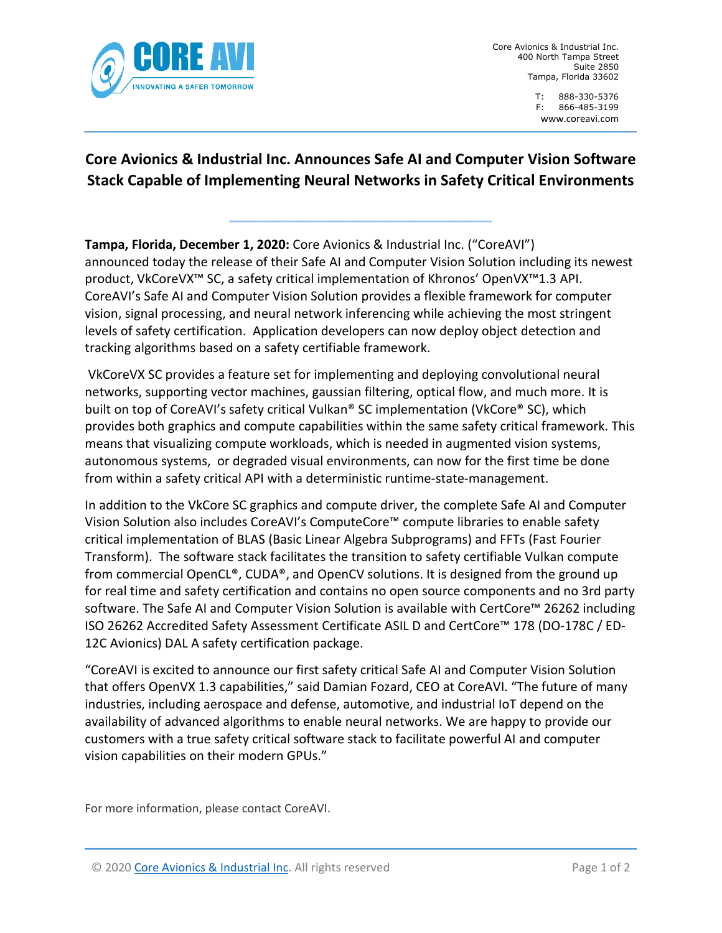

Core Avionics & Industrial Inc. 400 North Tampa Street Suite 2850 Tampa, Florida 33602

> T: 888-330-5376 F: 866-485-3199 [www.co](http://www.ch1group.com/)reavi.com

# **Core Avionics & Industrial Inc. Announces Safe AI and Computer Vision Software Stack Capable of Implementing Neural Networks in Safety Critical Environments**

**\_\_\_\_\_\_\_\_\_\_\_\_\_\_\_\_\_\_\_\_\_\_\_\_\_\_\_\_**

**Tampa, Florida, December 1, 2020:** Core Avionics & Industrial Inc. ("CoreAVI") announced today the release of their Safe AI and Computer Vision Solution including its newest product, VkCoreVX™ SC, a safety critical implementation of Khronos' OpenVX™1.3 API. CoreAVI's Safe AI and Computer Vision Solution provides a flexible framework for computer vision, signal processing, and neural network inferencing while achieving the most stringent levels of safety certification. Application developers can now deploy object detection and tracking algorithms based on a safety certifiable framework.

VkCoreVX SC provides a feature set for implementing and deploying convolutional neural networks, supporting vector machines, gaussian filtering, optical flow, and much more. It is built on top of CoreAVI's safety critical Vulkan® SC implementation (VkCore® SC), which provides both graphics and compute capabilities within the same safety critical framework. This means that visualizing compute workloads, which is needed in augmented vision systems, autonomous systems, or degraded visual environments, can now for the first time be done from within a safety critical API with a deterministic runtime-state-management.

In addition to the VkCore SC graphics and compute driver, the complete Safe AI and Computer Vision Solution also includes CoreAVI's ComputeCore™ compute libraries to enable safety critical implementation of BLAS (Basic Linear Algebra Subprograms) and FFTs (Fast Fourier Transform). The software stack facilitates the transition to safety certifiable Vulkan compute from commercial OpenCL®, CUDA®, and OpenCV solutions. It is designed from the ground up for real time and safety certification and contains no open source components and no 3rd party software. The Safe AI and Computer Vision Solution is available with CertCore™ 26262 including ISO 26262 Accredited Safety Assessment Certificate ASIL D and CertCore™ 178 (DO-178C / ED-12C Avionics) DAL A safety certification package.

"CoreAVI is excited to announce our first safety critical Safe AI and Computer Vision Solution that offers OpenVX 1.3 capabilities," said Damian Fozard, CEO at CoreAVI. "The future of many industries, including aerospace and defense, automotive, and industrial IoT depend on the availability of advanced algorithms to enable neural networks. We are happy to provide our customers with a true safety critical software stack to facilitate powerful AI and computer vision capabilities on their modern GPUs."

For more information, please contact CoreAVI.